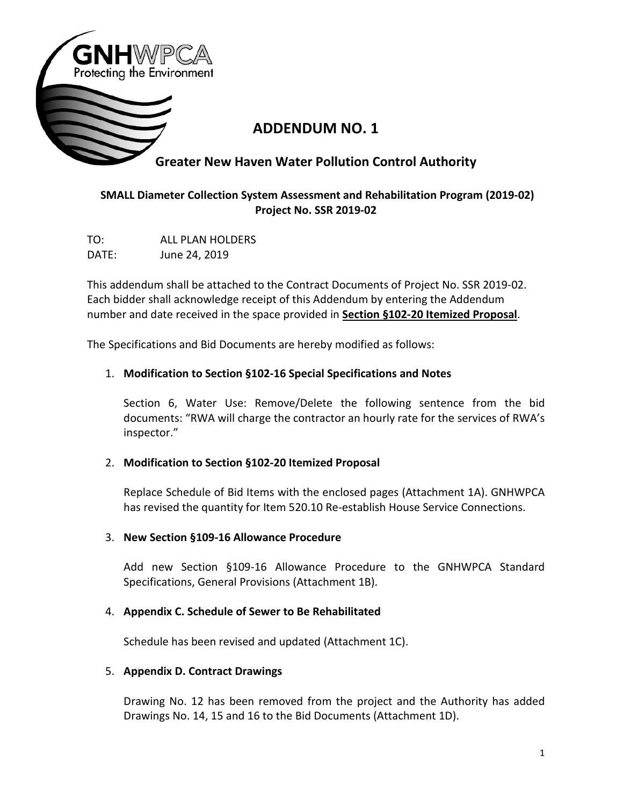

# **ADDENDUM NO. 1**

# **Greater New Haven Water Pollution Control Authority**

## **SMALL Diameter Collection System Assessment and Rehabilitation Program (2019-02) Project No. SSR 2019-02**

TO: ALL PLAN HOLDERS DATE: June 24, 2019

This addendum shall be attached to the Contract Documents of Project No. SSR 2019-02. Each bidder shall acknowledge receipt of this Addendum by entering the Addendum number and date received in the space provided in **Section §102-20 Itemized Proposal**.

The Specifications and Bid Documents are hereby modified as follows:

### 1. **Modification to Section §102-16 Special Specifications and Notes**

Section 6, Water Use: Remove/Delete the following sentence from the bid documents: "RWA will charge the contractor an hourly rate for the services of RWA's inspector."

### 2. **Modification to Section §102-20 Itemized Proposal**

Replace Schedule of Bid Items with the enclosed pages (Attachment 1A). GNHWPCA has revised the quantity for Item 520.10 Re-establish House Service Connections.

### 3. **New Section §109-16 Allowance Procedure**

Add new Section §109-16 Allowance Procedure to the GNHWPCA Standard Specifications, General Provisions (Attachment 1B).

### 4. **Appendix C. Schedule of Sewer to Be Rehabilitated**

Schedule has been revised and updated (Attachment 1C).

### 5. **Appendix D. Contract Drawings**

Drawing No. 12 has been removed from the project and the Authority has added Drawings No. 14, 15 and 16 to the Bid Documents (Attachment 1D).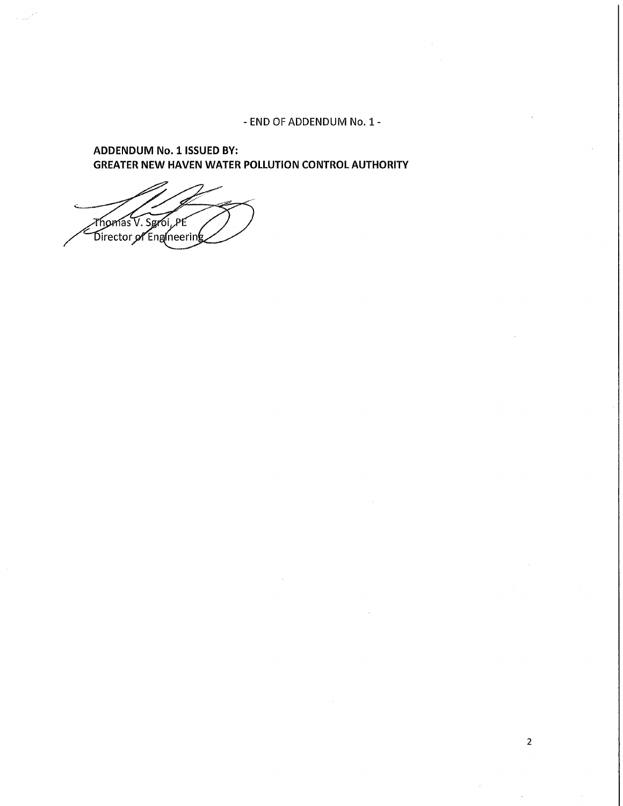- END OF ADDENDUM No. 1 -

**ADDENDUM No. 1 ISSUED BY: GREATER NEW HAVEN WATER POLLUTION CONTROL AUTHORITY** 

Thomas V. Sgroi, PE<br>Director of Engineering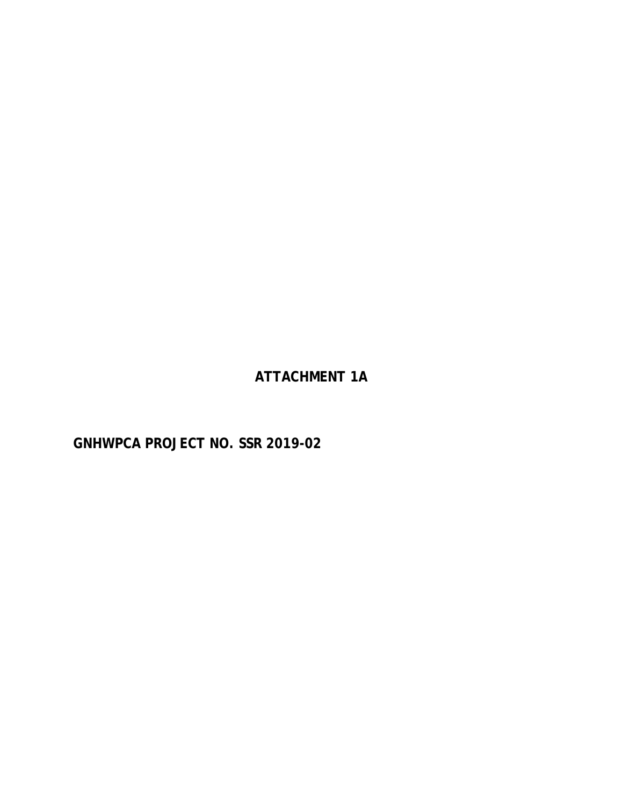**ATTACHMENT 1A**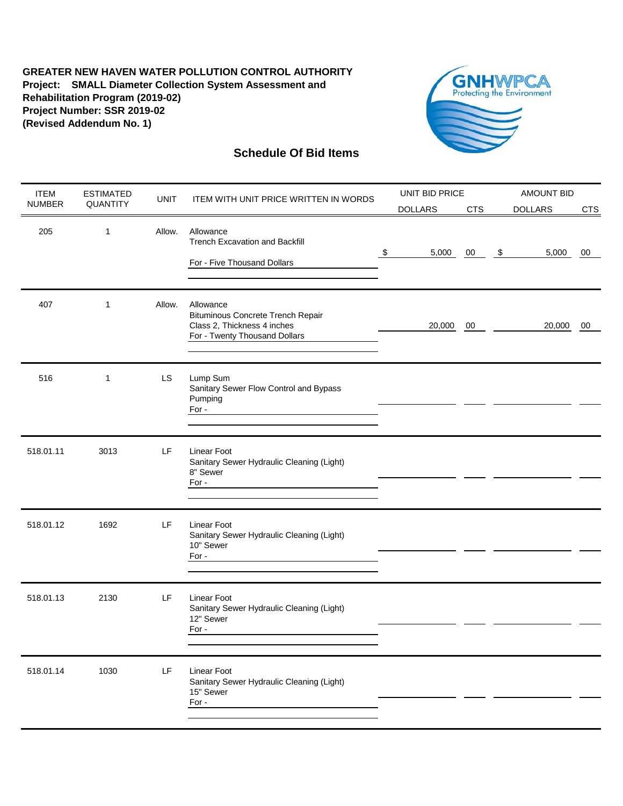

| <b>ITEM</b>   | <b>ESTIMATED</b> | <b>UNIT</b> | ITEM WITH UNIT PRICE WRITTEN IN WORDS                                                                                 |  | UNIT BID PRICE |            | <b>AMOUNT BID</b> |                |            |  |
|---------------|------------------|-------------|-----------------------------------------------------------------------------------------------------------------------|--|----------------|------------|-------------------|----------------|------------|--|
| <b>NUMBER</b> | QUANTITY         |             |                                                                                                                       |  | <b>DOLLARS</b> | <b>CTS</b> |                   | <b>DOLLARS</b> | <b>CTS</b> |  |
| 205           | $\mathbf{1}$     | Allow.      | Allowance<br><b>Trench Excavation and Backfill</b><br>\$<br>For - Five Thousand Dollars                               |  | 5,000          | 00         | $\sqrt[6]{3}$     | 5,000          | 00         |  |
| 407           | $\mathbf{1}$     | Allow.      | Allowance<br><b>Bituminous Concrete Trench Repair</b><br>Class 2, Thickness 4 inches<br>For - Twenty Thousand Dollars |  | 20,000         | 00         |                   | 20,000         | 00         |  |
| 516           | $\mathbf{1}$     | LS          | Lump Sum<br>Sanitary Sewer Flow Control and Bypass<br>Pumping<br>For -                                                |  |                |            |                   |                |            |  |
| 518.01.11     | 3013             | LF          | Linear Foot<br>Sanitary Sewer Hydraulic Cleaning (Light)<br>8" Sewer<br>For -                                         |  |                |            |                   |                |            |  |
| 518.01.12     | 1692             | LF          | Linear Foot<br>Sanitary Sewer Hydraulic Cleaning (Light)<br>10" Sewer<br>For -                                        |  |                |            |                   |                |            |  |
| 518.01.13     | 2130             | LF          | Linear Foot<br>Sanitary Sewer Hydraulic Cleaning (Light)<br>12" Sewer<br>For -                                        |  |                |            |                   |                |            |  |
| 518.01.14     | 1030             | LF          | Linear Foot<br>Sanitary Sewer Hydraulic Cleaning (Light)<br>15" Sewer<br>For -                                        |  |                |            |                   |                |            |  |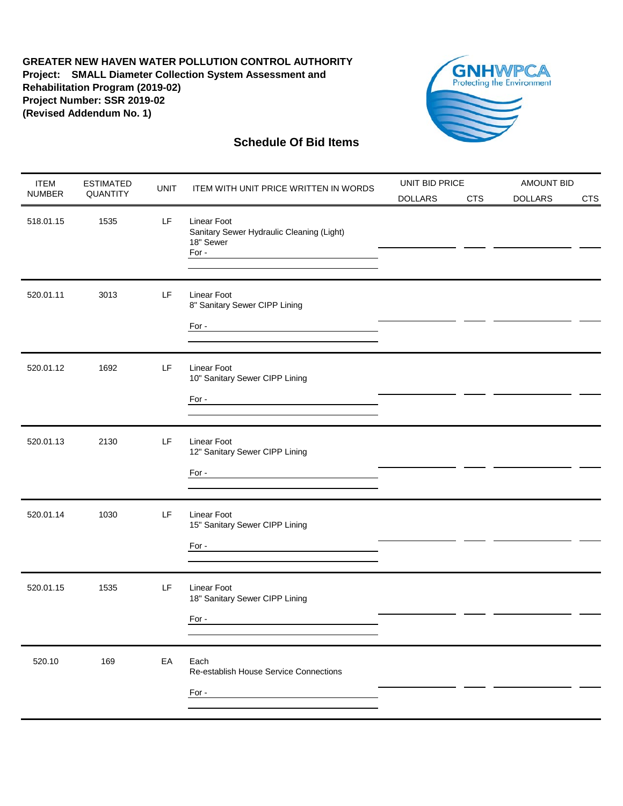

| <b>ITEM</b>   | <b>ESTIMATED</b> | <b>UNIT</b> | ITEM WITH UNIT PRICE WRITTEN IN WORDS                                                                              | UNIT BID PRICE |            | <b>AMOUNT BID</b> |            |  |
|---------------|------------------|-------------|--------------------------------------------------------------------------------------------------------------------|----------------|------------|-------------------|------------|--|
| <b>NUMBER</b> | QUANTITY         |             |                                                                                                                    | <b>DOLLARS</b> | <b>CTS</b> | <b>DOLLARS</b>    | <b>CTS</b> |  |
| 518.01.15     | 1535             | LF          | <b>Linear Foot</b><br>Sanitary Sewer Hydraulic Cleaning (Light)<br>18" Sewer<br>For -                              |                |            |                   |            |  |
| 520.01.11     | 3013             | LF          | Linear Foot<br>8" Sanitary Sewer CIPP Lining                                                                       |                |            |                   |            |  |
| 520.01.12     | 1692             | LF          | <b>Linear Foot</b><br>10" Sanitary Sewer CIPP Lining<br>For $\overline{\phantom{a}}$                               |                |            |                   |            |  |
| 520.01.13     | 2130             | LF          | <b>Linear Foot</b><br>12" Sanitary Sewer CIPP Lining<br>For -<br><u> 1989 - Johann Barbara, martxa alemaniar a</u> |                |            |                   |            |  |
| 520.01.14     | 1030             | LF          | <b>Linear Foot</b><br>15" Sanitary Sewer CIPP Lining<br>For $\overline{\phantom{a}}$                               |                |            |                   |            |  |
| 520.01.15     | 1535             | LF          | Linear Foot<br>18" Sanitary Sewer CIPP Lining<br>For -                                                             |                |            |                   |            |  |
| 520.10        | 169              | EA          | Each<br>Re-establish House Service Connections<br>For -                                                            |                |            |                   |            |  |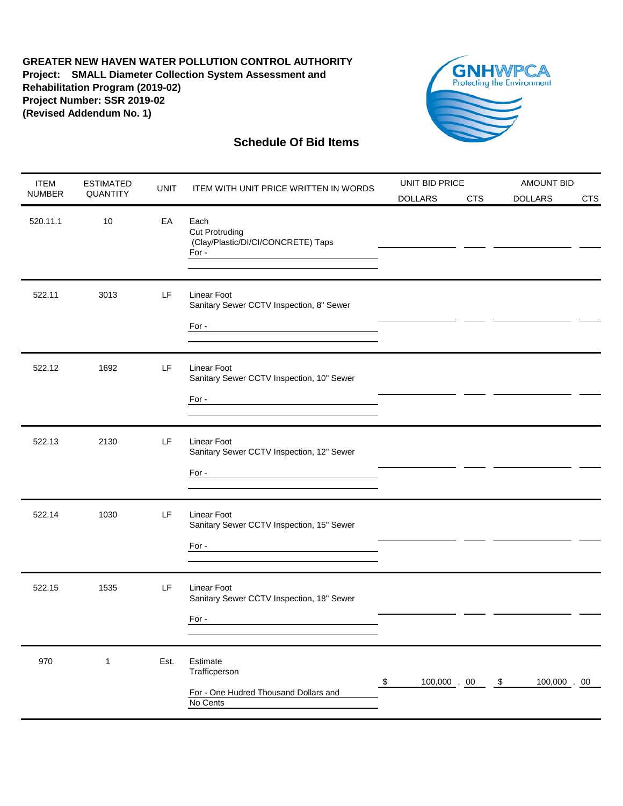

| <b>ITEM</b>   | <b>ESTIMATED</b> | <b>UNIT</b> | ITEM WITH UNIT PRICE WRITTEN IN WORDS                                                                                                                                                                                                                                                                                                                                                                                                                                                                                                    | UNIT BID PRICE            |                | <b>AMOUNT BID</b> |    |                |            |
|---------------|------------------|-------------|------------------------------------------------------------------------------------------------------------------------------------------------------------------------------------------------------------------------------------------------------------------------------------------------------------------------------------------------------------------------------------------------------------------------------------------------------------------------------------------------------------------------------------------|---------------------------|----------------|-------------------|----|----------------|------------|
| <b>NUMBER</b> | QUANTITY         |             |                                                                                                                                                                                                                                                                                                                                                                                                                                                                                                                                          | <b>DOLLARS</b>            |                | <b>CTS</b>        |    | <b>DOLLARS</b> | <b>CTS</b> |
| 520.11.1      | 10               | EA          | Each<br><b>Cut Protruding</b><br>(Clay/Plastic/DI/CI/CONCRETE) Taps<br>For -<br><u> 1980 - Andrea Andrew Maria (h. 1980).</u>                                                                                                                                                                                                                                                                                                                                                                                                            |                           |                |                   |    |                |            |
| 522.11        | 3013             | LF          | <b>Linear Foot</b><br>Sanitary Sewer CCTV Inspection, 8" Sewer<br>For -<br><u> 1980 - Andrea Andrew Maria (h. 1980).</u>                                                                                                                                                                                                                                                                                                                                                                                                                 |                           |                |                   |    |                |            |
| 522.12        | 1692             | LF          | <b>Linear Foot</b><br>Sanitary Sewer CCTV Inspection, 10" Sewer<br>For -<br><u> 1980 - Jan Stein Stein, fransk politik (f. 1980)</u>                                                                                                                                                                                                                                                                                                                                                                                                     |                           |                |                   |    |                |            |
| 522.13        | 2130             | LF          | <b>Linear Foot</b><br>Sanitary Sewer CCTV Inspection, 12" Sewer<br>For $\overline{\phantom{a}}$                                                                                                                                                                                                                                                                                                                                                                                                                                          |                           |                |                   |    |                |            |
| 522.14        | 1030             | LF          | <b>Linear Foot</b><br>Sanitary Sewer CCTV Inspection, 15" Sewer<br>For $\overline{\phantom{a}}$ $\overline{\phantom{a}}$ $\overline{\phantom{a}}$ $\overline{\phantom{a}}$ $\overline{\phantom{a}}$ $\overline{\phantom{a}}$ $\overline{\phantom{a}}$ $\overline{\phantom{a}}$ $\overline{\phantom{a}}$ $\overline{\phantom{a}}$ $\overline{\phantom{a}}$ $\overline{\phantom{a}}$ $\overline{\phantom{a}}$ $\overline{\phantom{a}}$ $\overline{\phantom{a}}$ $\overline{\phantom{a}}$ $\overline{\phantom{a}}$ $\overline{\phantom{a}}$ |                           |                |                   |    |                |            |
| 522.15        | 1535             | LF          | <b>Linear Foot</b><br>Sanitary Sewer CCTV Inspection, 18" Sewer<br>For -                                                                                                                                                                                                                                                                                                                                                                                                                                                                 |                           |                |                   |    |                |            |
| 970           | 1                | Est.        | Estimate<br>Trafficperson<br>For - One Hudred Thousand Dollars and<br>No Cents                                                                                                                                                                                                                                                                                                                                                                                                                                                           | $\boldsymbol{\mathsf{S}}$ | $100,000$ . 00 |                   | \$ | 100,000 . 00   |            |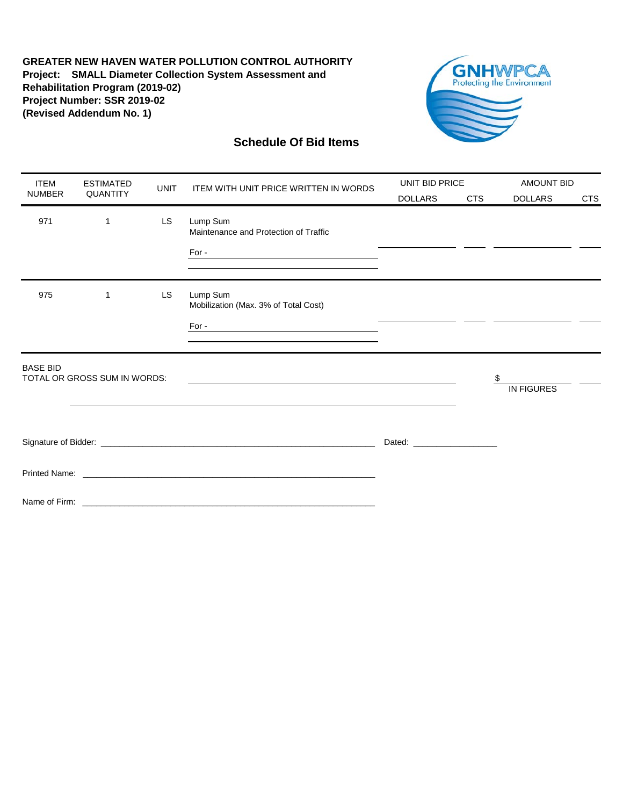

| <b>ITEM</b>                                                        | <b>ESTIMATED</b>             | <b>UNIT</b> | <b>ITEM WITH UNIT PRICE WRITTEN IN WORDS</b>                                                                                                                                                                                   | UNIT BID PRICE                                                                                                                                                                                                                       |            | <b>AMOUNT BID</b> |            |
|--------------------------------------------------------------------|------------------------------|-------------|--------------------------------------------------------------------------------------------------------------------------------------------------------------------------------------------------------------------------------|--------------------------------------------------------------------------------------------------------------------------------------------------------------------------------------------------------------------------------------|------------|-------------------|------------|
| <b>NUMBER</b>                                                      | QUANTITY                     |             |                                                                                                                                                                                                                                | <b>DOLLARS</b>                                                                                                                                                                                                                       | <b>CTS</b> | <b>DOLLARS</b>    | <b>CTS</b> |
| 971                                                                | 1                            | <b>LS</b>   | Lump Sum<br>Maintenance and Protection of Traffic                                                                                                                                                                              |                                                                                                                                                                                                                                      |            |                   |            |
|                                                                    |                              |             | the control of the control of the control of the control of the control of the control of the control of the control of the control of the control of the control of the control of the control of the control of the control  |                                                                                                                                                                                                                                      |            |                   |            |
| 975<br>LS<br>Lump Sum<br>1<br>Mobilization (Max. 3% of Total Cost) |                              |             |                                                                                                                                                                                                                                |                                                                                                                                                                                                                                      |            |                   |            |
|                                                                    |                              |             | $For - \_\_$                                                                                                                                                                                                                   |                                                                                                                                                                                                                                      |            |                   |            |
| <b>BASE BID</b>                                                    | TOTAL OR GROSS SUM IN WORDS: |             |                                                                                                                                                                                                                                |                                                                                                                                                                                                                                      |            | \$                |            |
|                                                                    |                              |             |                                                                                                                                                                                                                                |                                                                                                                                                                                                                                      |            | <b>IN FIGURES</b> |            |
|                                                                    |                              |             |                                                                                                                                                                                                                                | Dated: <u>with the same and the same of the same of the same of the same of the same of the same of the same of the same of the same of the same of the same of the same of the same of the same of the same of the same of the </u> |            |                   |            |
|                                                                    |                              |             | Printed Name: Name: Name: Name: Name: Name: Name: Name: Name: Name: Name: Name: Name: Name: Name: Name: Name: Name: Name: Name: Name: Name: Name: Name: Name: Name: Name: Name: Name: Name: Name: Name: Name: Name: Name: Name |                                                                                                                                                                                                                                      |            |                   |            |
|                                                                    |                              |             |                                                                                                                                                                                                                                |                                                                                                                                                                                                                                      |            |                   |            |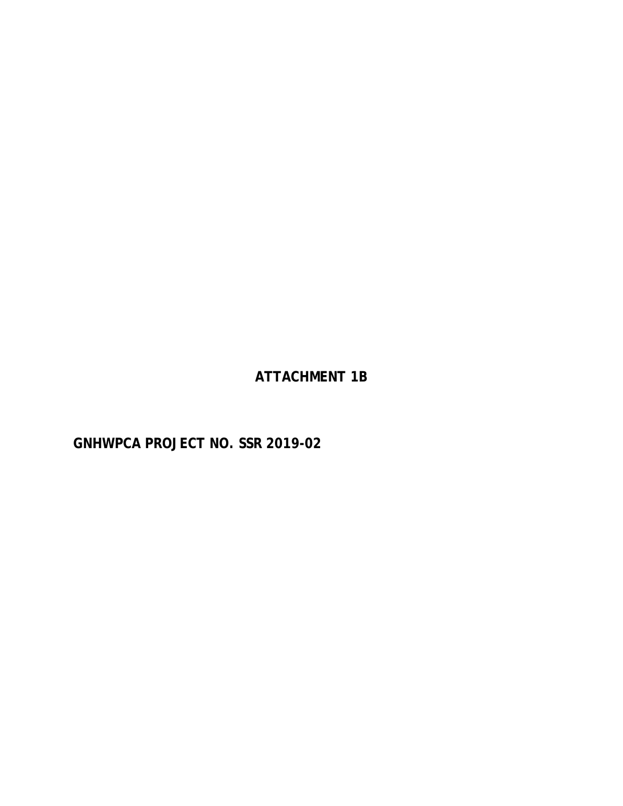**ATTACHMENT 1B**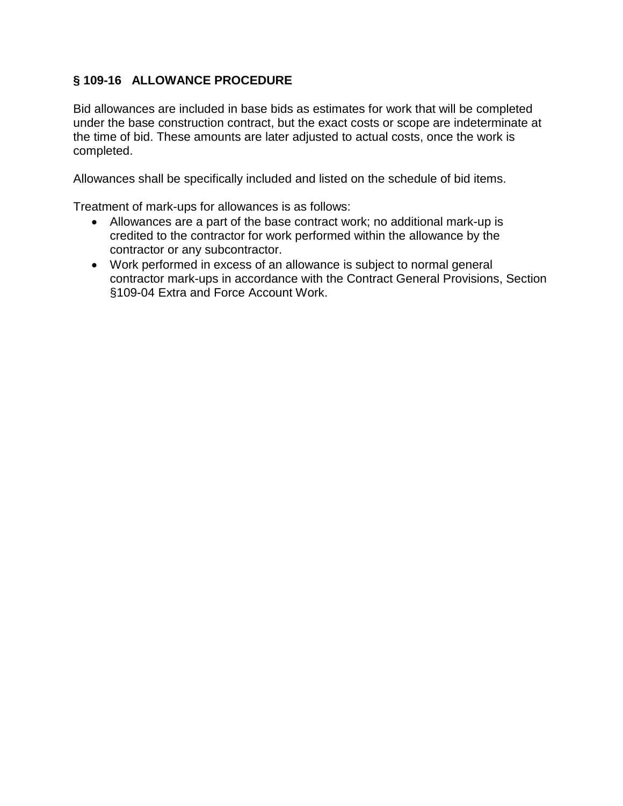# **§ 109-16 ALLOWANCE PROCEDURE**

Bid allowances are included in base bids as estimates for work that will be completed under the base construction contract, but the exact costs or scope are indeterminate at the time of bid. These amounts are later adjusted to actual costs, once the work is completed.

Allowances shall be specifically included and listed on the schedule of bid items.

Treatment of mark-ups for allowances is as follows:

- Allowances are a part of the base contract work; no additional mark-up is credited to the contractor for work performed within the allowance by the contractor or any subcontractor.
- Work performed in excess of an allowance is subject to normal general contractor mark-ups in accordance with the Contract General Provisions, Section §109-04 Extra and Force Account Work.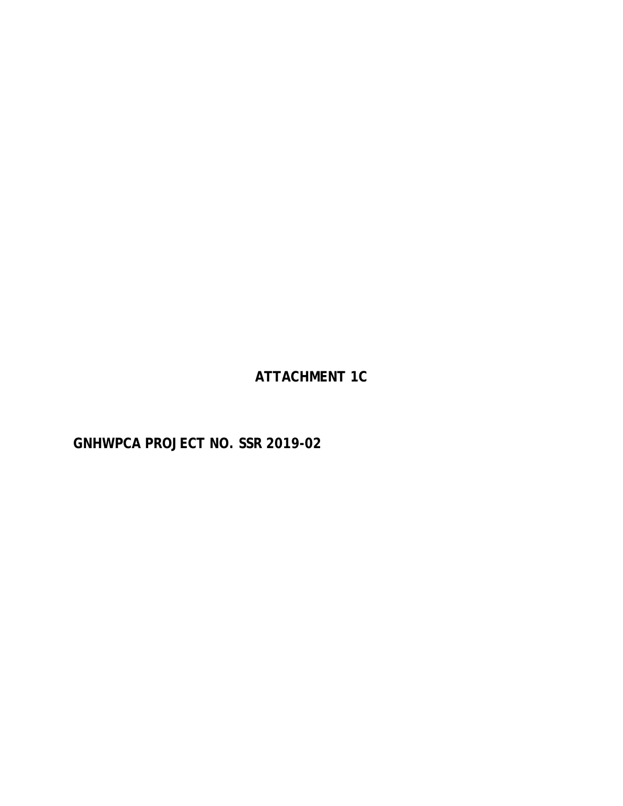**ATTACHMENT 1C**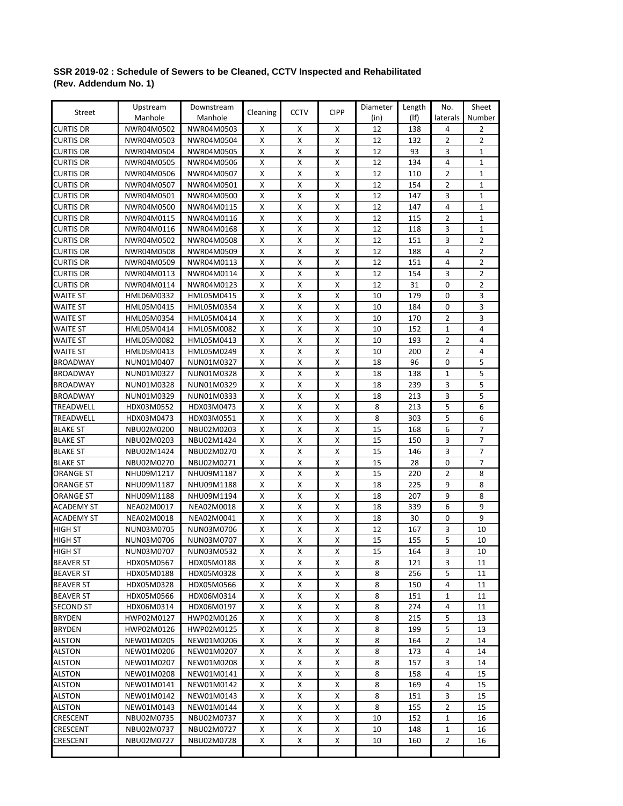#### **SSR 2019-02 : Schedule of Sewers to be Cleaned, CCTV Inspected and Rehabilitated (Rev. Addendum No. 1)**

|                      | Upstream                 | Downstream               |                    | <b>CCTV</b>        |                    | Diameter | Length     | No.      | Sheet          |
|----------------------|--------------------------|--------------------------|--------------------|--------------------|--------------------|----------|------------|----------|----------------|
| Street               | Manhole                  | Manhole                  | Cleaning           |                    | <b>CIPP</b>        | (in)     | $($ lf $)$ | laterals | Number         |
| <b>CURTIS DR</b>     | NWR04M0502               | NWR04M0503               | х                  | X                  | х                  | 12       | 138        | 4        | 2              |
| <b>CURTIS DR</b>     | NWR04M0503               | NWR04M0504               | X                  | X                  | X                  | 12       | 132        | 2        | 2              |
| CURTIS DR            | NWR04M0504               | NWR04M0505               | X                  | x                  | X                  | 12       | 93         | 3        | 1              |
| CURTIS DR            | NWR04M0505               | NWR04M0506               | X                  | Χ                  | X                  | 12       | 134        | 4        | 1              |
| CURTIS DR            | NWR04M0506               | NWR04M0507               | X                  | X                  | х                  | 12       | 110        | 2        | $\mathbf{1}$   |
| <b>CURTIS DR</b>     | NWR04M0507               | NWR04M0501               | X                  | x                  | Х                  | 12       | 154        | 2        | $\mathbf{1}$   |
| <b>CURTIS DR</b>     | NWR04M0501               | NWR04M0500               | X                  | x                  | X                  | 12       | 147        | 3        | $\mathbf{1}$   |
| <b>CURTIS DR</b>     | NWR04M0500               | NWR04M0115               | х                  | X                  | х                  | 12       | 147        | 4        | 1              |
| <b>CURTIS DR</b>     | NWR04M0115               | NWR04M0116               | X                  | x                  | х                  | 12       | 115        | 2        | 1              |
| <b>CURTIS DR</b>     | NWR04M0116               | NWR04M0168               | X                  | х                  | х                  | 12       | 118        | 3        | 1              |
| <b>CURTIS DR</b>     | NWR04M0502               | NWR04M0508               | X                  | X                  | X                  | 12       | 151        | 3        | $\overline{2}$ |
| <b>CURTIS DR</b>     | NWR04M0508               | NWR04M0509               | X                  | X                  | X                  | 12       | 188        | 4        | 2              |
| <b>CURTIS DR</b>     | NWR04M0509               | NWR04M0113               | X                  | X                  | X                  | 12       | 151        | 4        | $\overline{2}$ |
| <b>CURTIS DR</b>     | NWR04M0113               | NWR04M0114               | X                  | x                  | х                  | 12       | 154        | 3        | 2              |
| CURTIS DR            | NWR04M0114               | NWR04M0123               | х                  | х                  | х                  | 12       | 31         | 0        | 2              |
| <b>WAITE ST</b>      | HML06M0332               | HML05M0415               | X                  | X                  | X                  | 10       | 179        | 0        | 3              |
| WAITE ST             | HML05M0415               | HML05M0354               | X                  | x                  | Х                  | 10       | 184        | 0        | 3              |
|                      |                          |                          | X                  | x                  | X                  | 10       | 170        | 2        | $\overline{3}$ |
| WAITE ST<br>WAITE ST | HML05M0354<br>HML05M0414 | HML05M0414<br>HML05M0082 | х                  | х                  | Х                  | 10       | 152        | 1        | 4              |
| WAITE ST             | HML05M0082               | HML05M0413               | х                  | х                  | х                  | 10       | 193        | 2        | 4              |
| WAITE ST             | HML05M0413               | HML05M0249               | X                  | х                  | X                  | 10       | 200        | 2        | 4              |
| <b>BROADWAY</b>      | NUN01M0407               | NUN01M0327               | х                  | х                  | х                  | 18       | 96         | 0        | 5              |
| <b>BROADWAY</b>      | NUN01M0327               | NUN01M0328               | X                  | X                  | X                  | 18       | 138        | 1        | 5              |
| <b>BROADWAY</b>      | NUN01M0328               | NUN01M0329               | X                  | x                  | X                  | 18       | 239        | 3        | 5              |
| <b>BROADWAY</b>      | NUN01M0329               | NUN01M0333               | X                  | x                  | х                  | 18       | 213        | 3        | 5              |
| TREADWELL            | HDX03M0552               | HDX03M0473               | х                  | х                  | х                  | 8        | 213        | 5        | 6              |
| TREADWELL            | HDX03M0473               | HDX03M0551               | X                  | х                  | х                  | 8        | 303        | 5        | 6              |
| <b>BLAKE ST</b>      | NBU02M0200               | NBU02M0203               | X                  | x                  | X                  | 15       | 168        | 6        | $\overline{7}$ |
| <b>BLAKE ST</b>      | NBU02M0203               | NBU02M1424               | X                  | х                  | X                  | 15       | 150        | 3        | 7              |
| <b>BLAKE ST</b>      | NBU02M1424               | NBU02M0270               | X                  | X                  | X                  | 15       | 146        | 3        | $\overline{7}$ |
| <b>BLAKE ST</b>      | NBU02M0270               | NBU02M0271               | х                  | х                  | X                  | 15       | 28         | 0        | 7              |
| ORANGE ST            | NHU09M1217               | NHU09M1187               | X                  | х                  | X                  | 15       | 220        | 2        | 8              |
| ORANGE ST            | NHU09M1187               | NHU09M1188               | х                  | х                  | х                  | 18       | 225        | 9        | 8              |
| <b>ORANGE ST</b>     | NHU09M1188               | NHU09M1194               | X                  | x                  | X                  | 18       | 207        | 9        | 8              |
| <b>ACADEMY ST</b>    | NEA02M0017               | NEA02M0018               | X                  | X                  | $\pmb{\mathsf{X}}$ | 18       | 339        | 6        | 9              |
| <b>ACADEMY ST</b>    | NEA02M0018               | NEA02M0041               | х                  | X                  | х                  | 18       | 30         | 0        | 9              |
| HIGH ST              | NUN03M0705               | NUN03M0706               | X                  | x                  | х                  | 12       | 167        | 3        | 10             |
| HIGH ST              | NUN03M0706               | NUN03M0707               | X                  | х                  | х                  | 15       | 155        | 5        | 10             |
| <b>HIGH ST</b>       | NUN03M0707               | NUN03M0532               | $\pmb{\mathsf{X}}$ | $\pmb{\mathsf{X}}$ | $\pmb{\mathsf{X}}$ | 15       | 164        | 3        | 10             |
| <b>BEAVER ST</b>     | HDX05M0567               | HDX05M0188               | x                  | х                  | X                  | 8        | 121        | 3        | 11             |
| <b>BEAVER ST</b>     | HDX05M0188               | HDX05M0328               | X                  | x                  | X                  | 8        | 256        | 5        | 11             |
| <b>BEAVER ST</b>     | HDX05M0328               | HDX05M0566               | X                  | x                  | X                  | 8        | 150        | 4        | 11             |
| <b>BEAVER ST</b>     | HDX05M0566               | HDX06M0314               | x                  | х                  | x                  | 8        | 151        | 1        | 11             |
| <b>SECOND ST</b>     | HDX06M0314               | HDX06M0197               | X                  | x                  | Х                  | 8        | 274        | 4        | 11             |
| <b>BRYDEN</b>        | HWP02M0127               | HWP02M0126               | X                  | X                  | Χ                  | 8        | 215        | 5        | 13             |
| <b>BRYDEN</b>        | HWP02M0126               | HWP02M0125               | X                  | X                  | X                  | 8        | 199        | 5        | 13             |
| <b>ALSTON</b>        | NEW01M0205               | NEW01M0206               | X                  | х                  | X                  | 8        | 164        | 2        | 14             |
| ALSTON               | NEW01M0206               | NEW01M0207               | X                  | x                  | x                  | 8        | 173        | 4        | 14             |
| ALSTON               | NEW01M0207               | NEW01M0208               | X                  | x                  | X                  | 8        | 157        | 3        | 14             |
| ALSTON               | NEW01M0208               | NEW01M0141               | X                  | х                  | х                  | 8        | 158        | 4        | 15             |
| <b>ALSTON</b>        | NEW01M0141               | NEW01M0142               | X                  | X                  | X                  | 8        | 169        | 4        | 15             |
| <b>ALSTON</b>        | NEW01M0142               | NEW01M0143               | X                  | x                  | X                  | 8        | 151        | 3        | 15             |
| ALSTON               | NEW01M0143               | NEW01M0144               | X                  | x                  | X                  | 8        | 155        | 2        | 15             |
| CRESCENT             | NBU02M0735               | NBU02M0737               | x                  | х                  | x                  | 10       | 152        | 1        | 16             |
| CRESCENT             | NBU02M0737               | NBU02M0727               | X                  | x                  | X                  | 10       | 148        | 1        | 16             |
| CRESCENT             | NBU02M0727               | NBU02M0728               | X                  | X                  | x                  | 10       | 160        | 2        | 16             |
|                      |                          |                          |                    |                    |                    |          |            |          |                |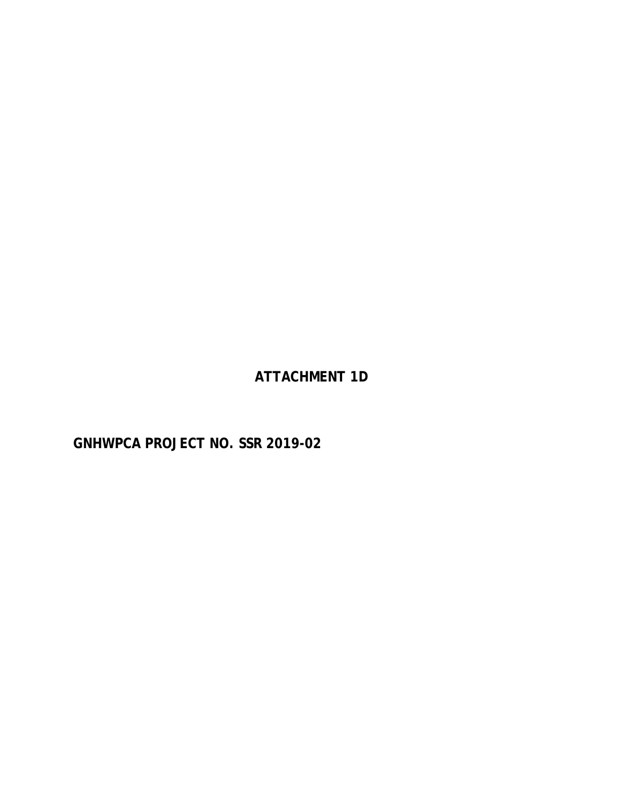**ATTACHMENT 1D**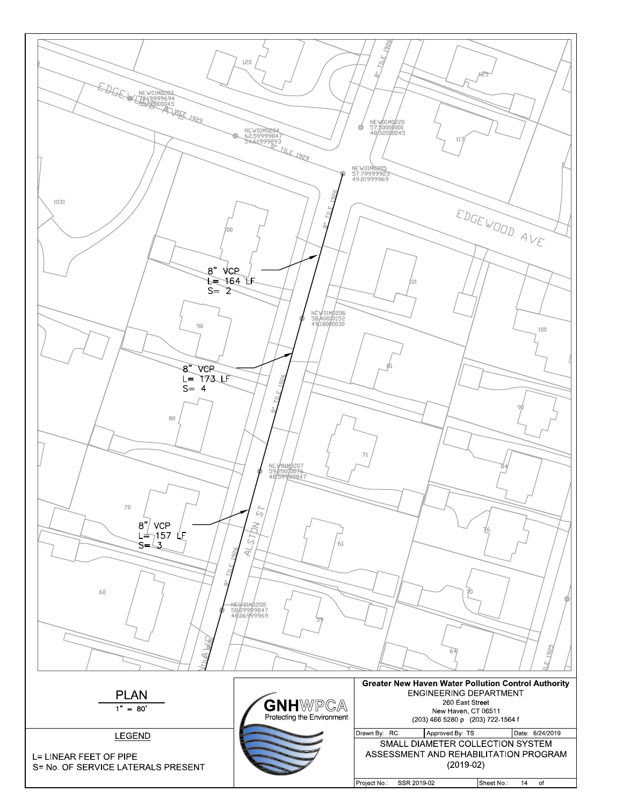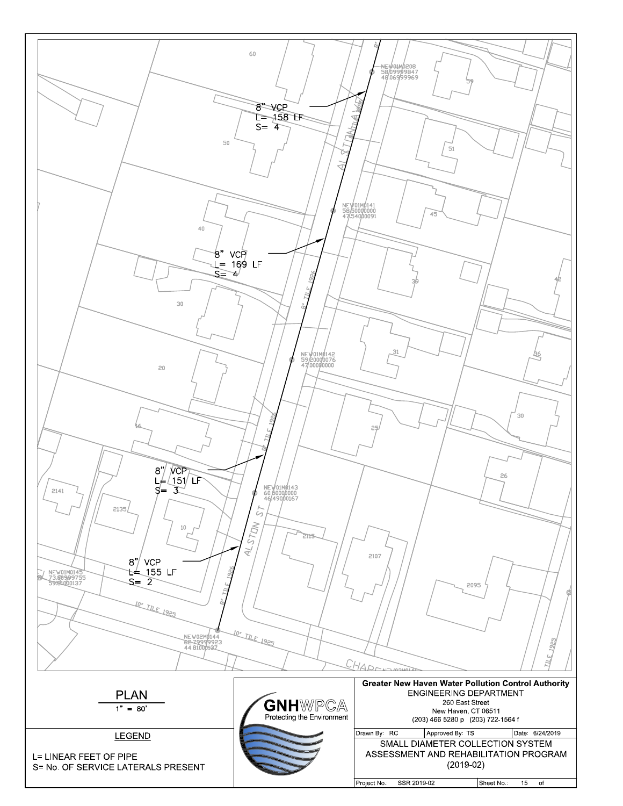